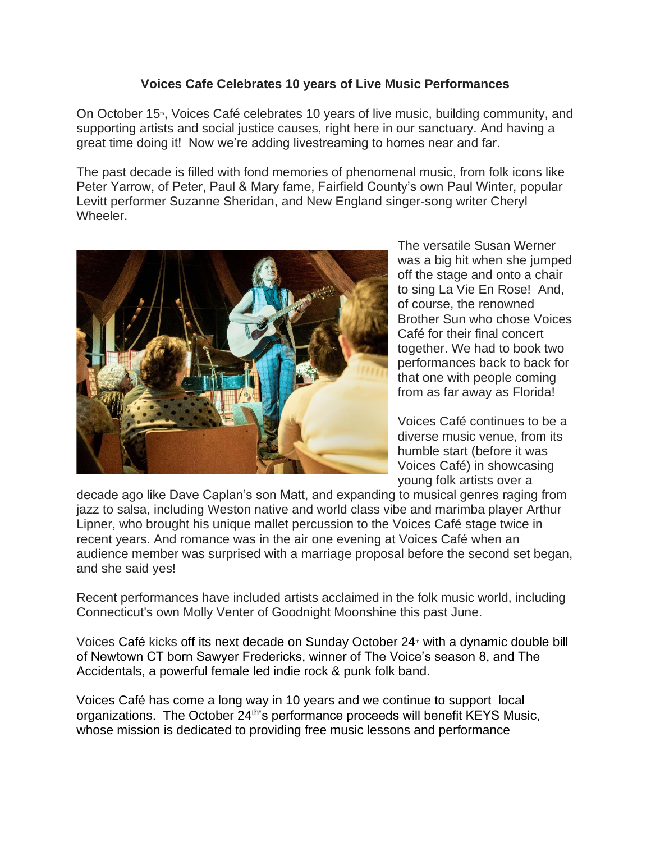## **Voices Cafe Celebrates 10 years of Live Music Performances**

On October 15<sup>th</sup>, Voices Café celebrates 10 years of live music, building community, and supporting artists and social justice causes, right here in our sanctuary. And having a great time doing it! Now we're adding livestreaming to homes near and far.

The past decade is filled with fond memories of phenomenal music, from folk icons like Peter Yarrow, of Peter, Paul & Mary fame, Fairfield County's own Paul Winter, popular Levitt performer Suzanne Sheridan, and New England singer-song writer Cheryl Wheeler.



The versatile Susan Werner was a big hit when she jumped off the stage and onto a chair to sing La Vie En Rose! And, of course, the renowned Brother Sun who chose Voices Café for their final concert together. We had to book two performances back to back for that one with people coming from as far away as Florida!

Voices Café continues to be a diverse music venue, from its humble start (before it was Voices Café) in showcasing young folk artists over a

decade ago like Dave Caplan's son Matt, and expanding to musical genres raging from jazz to salsa, including Weston native and world class vibe and marimba player Arthur Lipner, who brought his unique mallet percussion to the Voices Café stage twice in recent years. And romance was in the air one evening at Voices Café when an audience member was surprised with a marriage proposal before the second set began, and she said yes!

Recent performances have included artists acclaimed in the folk music world, including Connecticut's own Molly Venter of Goodnight Moonshine this past June.

Voices Café kicks off its next decade on Sunday October  $24$ <sup>\*</sup> with a dynamic double bill of Newtown CT born Sawyer Fredericks, winner of The Voice's season 8, and The Accidentals, a powerful female led indie rock & punk folk band.

Voices Café has come a long way in 10 years and we continue to support local organizations. The October 24<sup>th'</sup>s performance proceeds will benefit KEYS Music, whose mission is dedicated to providing free music lessons and performance